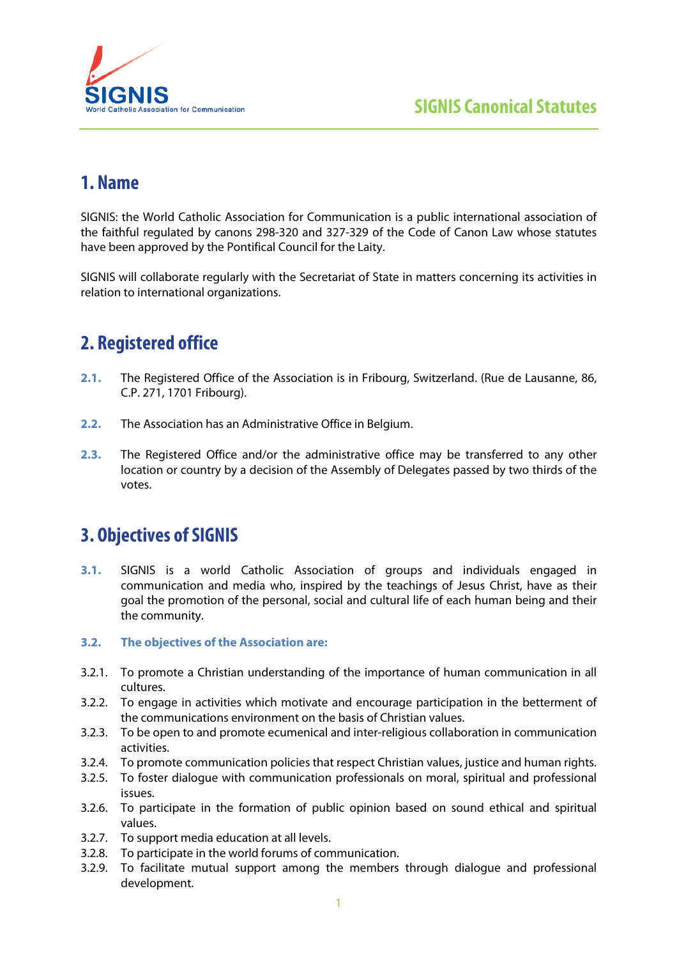

# **1. Name**

SIGNIS: the World Catholic Association for Communication is a public international association of the faithful regulated by canons 298-320 and 327-329 of the Code of Canon Law whose statutes have been approved by the Pontifical Council for the Laity.

SIGNIS will collaborate regularly with the Secretariat of State in matters concerning its activities in relation to international organizations.

# **2. Registered office**

- **2.1.** The Registered Office of the Association is in Fribourg, Switzerland. (Rue de Lausanne, 86, C.P. 271, 1701 Fribourg).
- **2.2.** The Association has an Administrative Office in Belgium.
- **2.3.** The Registered Office and/or the administrative office may be transferred to any other location or country by a decision of the Assembly of Delegates passed by two thirds of the votes.

# **3. Objectives of SIGNIS**

- **3.1.** SIGNIS is a world Catholic Association of groups and individuals engaged in communication and media who, inspired by the teachings of Jesus Christ, have as their goal the promotion of the personal, social and cultural life of each human being and their the community.
- **3.2. The objectives of the Association are:**
- 3.2.1. To promote a Christian understanding of the importance of human communication in all cultures.
- 3.2.2. To engage in activities which motivate and encourage participation in the betterment of the communications environment on the basis of Christian values.
- 3.2.3. To be open to and promote ecumenical and inter-religious collaboration in communication activities.
- 3.2.4. To promote communication policies that respect Christian values, justice and human rights.
- 3.2.5. To foster dialogue with communication professionals on moral, spiritual and professional issues.
- 3.2.6. To participate in the formation of public opinion based on sound ethical and spiritual values.
- 3.2.7. To support media education at all levels.
- 3.2.8. To participate in the world forums of communication.
- 3.2.9. To facilitate mutual support among the members through dialogue and professional development.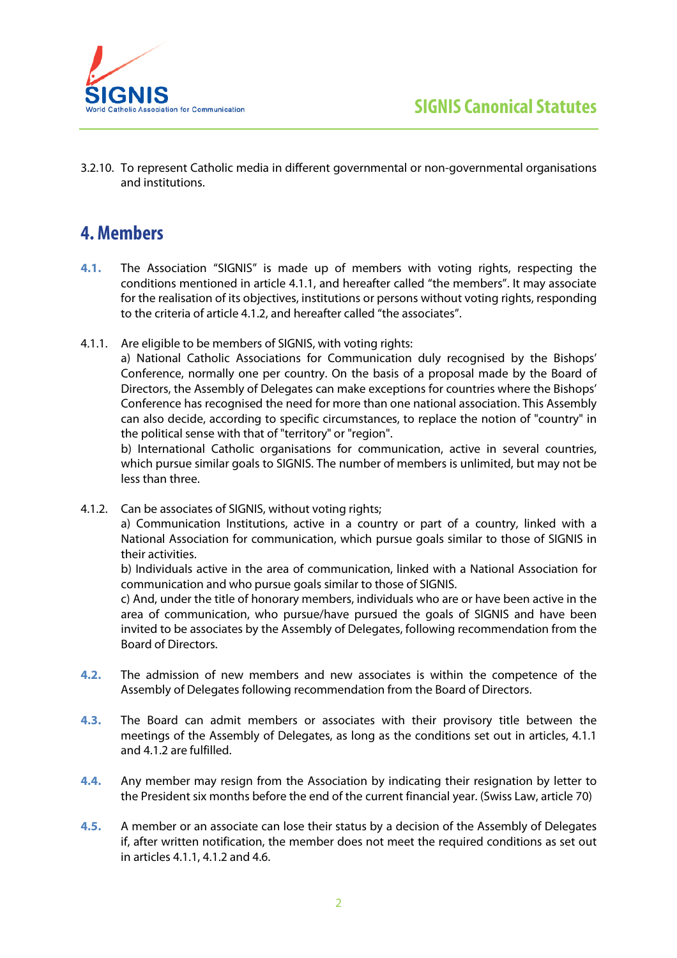



3.2.10. To represent Catholic media in different governmental or non-governmental organisations and institutions.

# **4. Members**

- **4.1.** The Association "SIGNIS" is made up of members with voting rights, respecting the conditions mentioned in article 4.1.1, and hereafter called "the members". It may associate for the realisation of its objectives, institutions or persons without voting rights, responding to the criteria of article 4.1.2, and hereafter called "the associates".
- 4.1.1. Are eligible to be members of SIGNIS, with voting rights:

a) National Catholic Associations for Communication duly recognised by the Bishops' Conference, normally one per country. On the basis of a proposal made by the Board of Directors, the Assembly of Delegates can make exceptions for countries where the Bishops' Conference has recognised the need for more than one national association. This Assembly can also decide, according to specific circumstances, to replace the notion of "country" in the political sense with that of "territory" or "region".

b) International Catholic organisations for communication, active in several countries, which pursue similar goals to SIGNIS. The number of members is unlimited, but may not be less than three.

4.1.2. Can be associates of SIGNIS, without voting rights;

a) Communication Institutions, active in a country or part of a country, linked with a National Association for communication, which pursue goals similar to those of SIGNIS in their activities.

b) Individuals active in the area of communication, linked with a National Association for communication and who pursue goals similar to those of SIGNIS.

c) And, under the title of honorary members, individuals who are or have been active in the area of communication, who pursue/have pursued the goals of SIGNIS and have been invited to be associates by the Assembly of Delegates, following recommendation from the Board of Directors.

- **4.2.** The admission of new members and new associates is within the competence of the Assembly of Delegates following recommendation from the Board of Directors.
- **4.3.** The Board can admit members or associates with their provisory title between the meetings of the Assembly of Delegates, as long as the conditions set out in articles, 4.1.1 and 4.1.2 are fulfilled.
- **4.4.** Any member may resign from the Association by indicating their resignation by letter to the President six months before the end of the current financial year. (Swiss Law, article 70)
- **4.5.** A member or an associate can lose their status by a decision of the Assembly of Delegates if, after written notification, the member does not meet the required conditions as set out in articles 4.1.1, 4.1.2 and 4.6.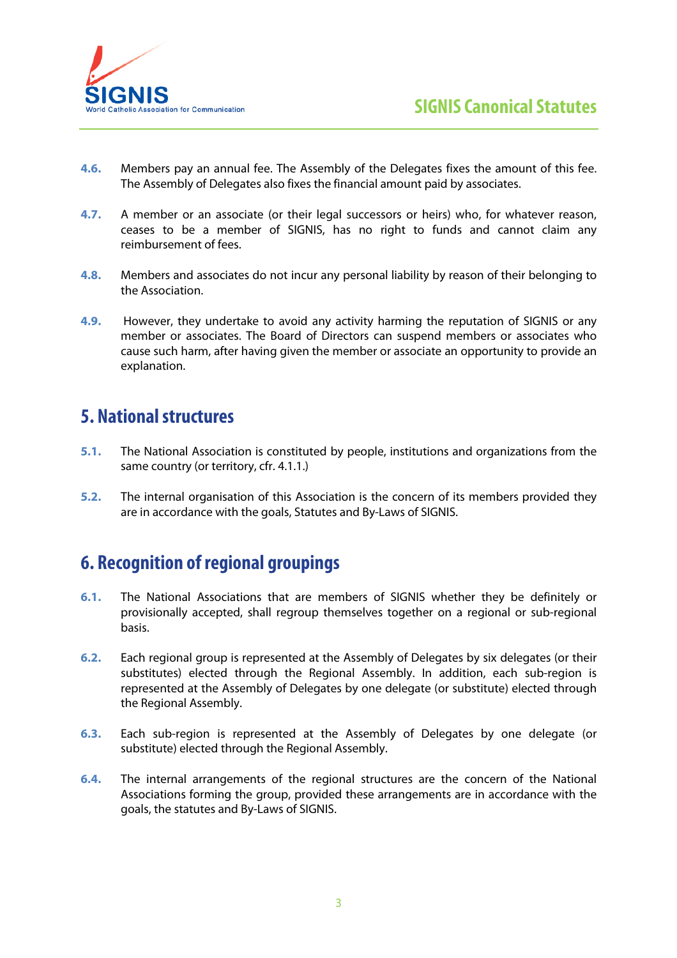

- **4.6.** Members pay an annual fee. The Assembly of the Delegates fixes the amount of this fee. The Assembly of Delegates also fixes the financial amount paid by associates.
- **4.7.** A member or an associate (or their legal successors or heirs) who, for whatever reason, ceases to be a member of SIGNIS, has no right to funds and cannot claim any reimbursement of fees.
- **4.8.** Members and associates do not incur any personal liability by reason of their belonging to the Association.
- **4.9.** However, they undertake to avoid any activity harming the reputation of SIGNIS or any member or associates. The Board of Directors can suspend members or associates who cause such harm, after having given the member or associate an opportunity to provide an explanation.

## **5. National structures**

- **5.1.** The National Association is constituted by people, institutions and organizations from the same country (or territory, cfr. 4.1.1.)
- **5.2.** The internal organisation of this Association is the concern of its members provided they are in accordance with the goals, Statutes and By-Laws of SIGNIS.

# **6. Recognition of regional groupings**

- **6.1.** The National Associations that are members of SIGNIS whether they be definitely or provisionally accepted, shall regroup themselves together on a regional or sub-regional basis.
- **6.2.** Each regional group is represented at the Assembly of Delegates by six delegates (or their substitutes) elected through the Regional Assembly. In addition, each sub-region is represented at the Assembly of Delegates by one delegate (or substitute) elected through the Regional Assembly.
- **6.3.** Each sub-region is represented at the Assembly of Delegates by one delegate (or substitute) elected through the Regional Assembly.
- **6.4.** The internal arrangements of the regional structures are the concern of the National Associations forming the group, provided these arrangements are in accordance with the goals, the statutes and By-Laws of SIGNIS.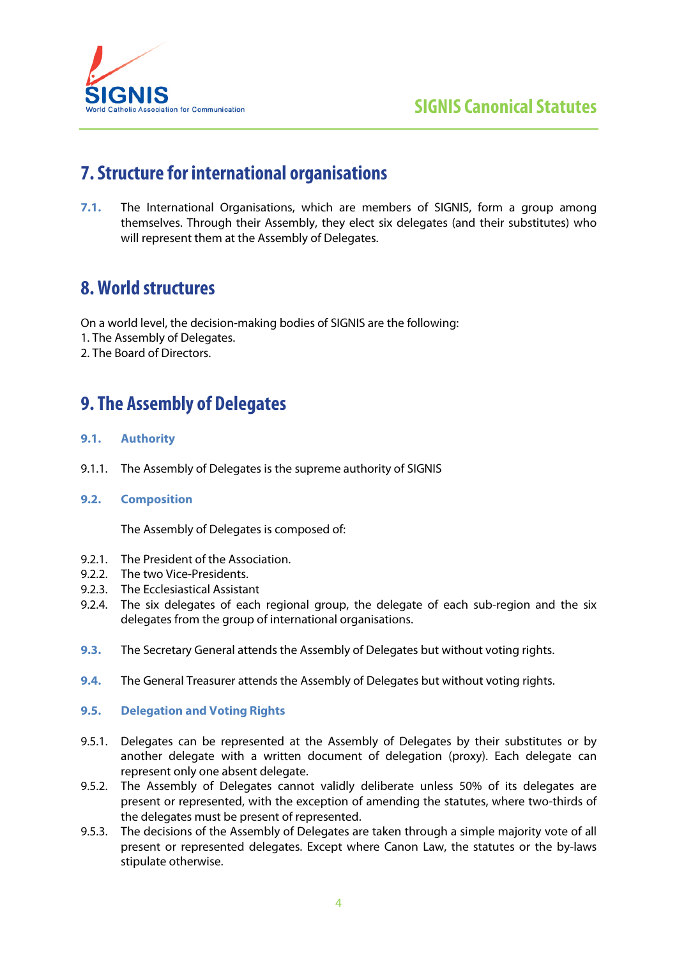

# **7. Structure for international organisations**

**7.1.** The International Organisations, which are members of SIGNIS, form a group among themselves. Through their Assembly, they elect six delegates (and their substitutes) who will represent them at the Assembly of Delegates.

# **8. World structures**

On a world level, the decision-making bodies of SIGNIS are the following:

- 1. The Assembly of Delegates.
- 2. The Board of Directors.

# **9. The Assembly of Delegates**

## **9.1. Authority**

- 9.1.1. The Assembly of Delegates is the supreme authority of SIGNIS
- **9.2. Composition**

The Assembly of Delegates is composed of:

- 9.2.1. The President of the Association.
- 9.2.2. The two Vice-Presidents.
- 9.2.3. The Ecclesiastical Assistant
- 9.2.4. The six delegates of each regional group, the delegate of each sub-region and the six delegates from the group of international organisations.
- **9.3.** The Secretary General attends the Assembly of Delegates but without voting rights.
- **9.4.** The General Treasurer attends the Assembly of Delegates but without voting rights.

### **9.5. Delegation and Voting Rights**

- 9.5.1. Delegates can be represented at the Assembly of Delegates by their substitutes or by another delegate with a written document of delegation (proxy). Each delegate can represent only one absent delegate.
- 9.5.2. The Assembly of Delegates cannot validly deliberate unless 50% of its delegates are present or represented, with the exception of amending the statutes, where two-thirds of the delegates must be present of represented.
- 9.5.3. The decisions of the Assembly of Delegates are taken through a simple majority vote of all present or represented delegates. Except where Canon Law, the statutes or the by-laws stipulate otherwise.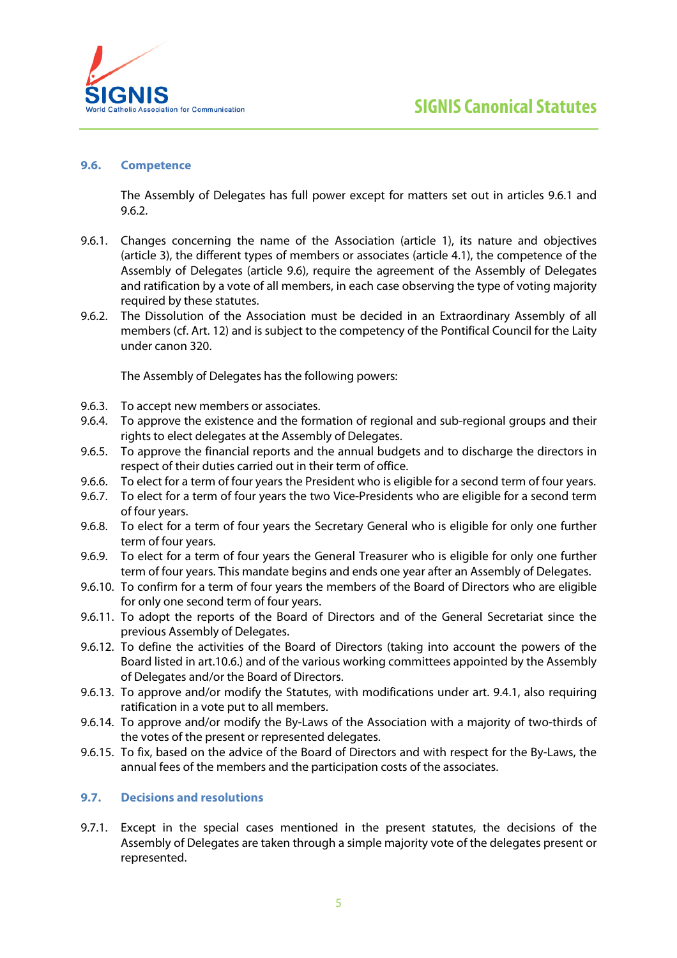

### **9.6. Competence**

The Assembly of Delegates has full power except for matters set out in articles 9.6.1 and 9.6.2.

- 9.6.1. Changes concerning the name of the Association (article 1), its nature and objectives (article 3), the different types of members or associates (article 4.1), the competence of the Assembly of Delegates (article 9.6), require the agreement of the Assembly of Delegates and ratification by a vote of all members, in each case observing the type of voting majority required by these statutes.
- 9.6.2. The Dissolution of the Association must be decided in an Extraordinary Assembly of all members (cf. Art. 12) and is subject to the competency of the Pontifical Council for the Laity under canon 320.

The Assembly of Delegates has the following powers:

- 9.6.3. To accept new members or associates.
- 9.6.4. To approve the existence and the formation of regional and sub-regional groups and their rights to elect delegates at the Assembly of Delegates.
- 9.6.5. To approve the financial reports and the annual budgets and to discharge the directors in respect of their duties carried out in their term of office.
- 9.6.6. To elect for a term of four years the President who is eligible for a second term of four years.
- 9.6.7. To elect for a term of four years the two Vice-Presidents who are eligible for a second term of four years.
- 9.6.8. To elect for a term of four years the Secretary General who is eligible for only one further term of four years.
- 9.6.9. To elect for a term of four years the General Treasurer who is eligible for only one further term of four years. This mandate begins and ends one year after an Assembly of Delegates.
- 9.6.10. To confirm for a term of four years the members of the Board of Directors who are eligible for only one second term of four years.
- 9.6.11. To adopt the reports of the Board of Directors and of the General Secretariat since the previous Assembly of Delegates.
- 9.6.12. To define the activities of the Board of Directors (taking into account the powers of the Board listed in art.10.6.) and of the various working committees appointed by the Assembly of Delegates and/or the Board of Directors.
- 9.6.13. To approve and/or modify the Statutes, with modifications under art. 9.4.1, also requiring ratification in a vote put to all members.
- 9.6.14. To approve and/or modify the By-Laws of the Association with a majority of two-thirds of the votes of the present or represented delegates.
- 9.6.15. To fix, based on the advice of the Board of Directors and with respect for the By-Laws, the annual fees of the members and the participation costs of the associates.

## **9.7. Decisions and resolutions**

9.7.1. Except in the special cases mentioned in the present statutes, the decisions of the Assembly of Delegates are taken through a simple majority vote of the delegates present or represented.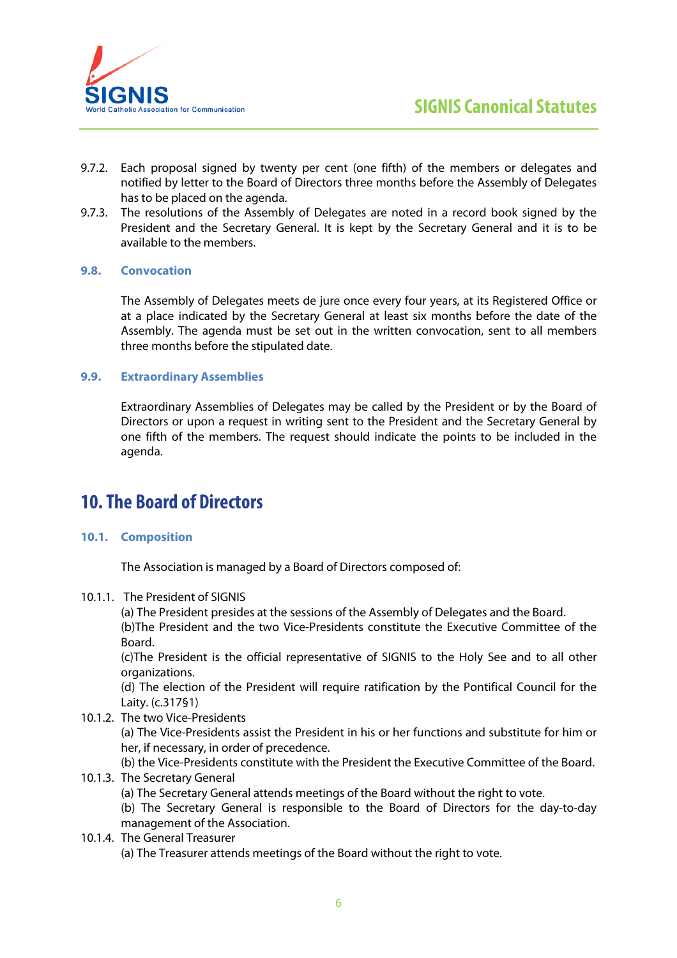

- 9.7.2. Each proposal signed by twenty per cent (one fifth) of the members or delegates and notified by letter to the Board of Directors three months before the Assembly of Delegates has to be placed on the agenda.
- 9.7.3. The resolutions of the Assembly of Delegates are noted in a record book signed by the President and the Secretary General. It is kept by the Secretary General and it is to be available to the members.

## **9.8. Convocation**

The Assembly of Delegates meets de jure once every four years, at its Registered Office or at a place indicated by the Secretary General at least six months before the date of the Assembly. The agenda must be set out in the written convocation, sent to all members three months before the stipulated date.

## **9.9. Extraordinary Assemblies**

Extraordinary Assemblies of Delegates may be called by the President or by the Board of Directors or upon a request in writing sent to the President and the Secretary General by one fifth of the members. The request should indicate the points to be included in the agenda.

## **10. The Board of Directors**

## **10.1. Composition**

The Association is managed by a Board of Directors composed of:

### 10.1.1. The President of SIGNIS

(a) The President presides at the sessions of the Assembly of Delegates and the Board. (b)The President and the two Vice-Presidents constitute the Executive Committee of the Board.

(c)The President is the official representative of SIGNIS to the Holy See and to all other organizations.

(d) The election of the President will require ratification by the Pontifical Council for the Laity. (c.317§1)

10.1.2. The two Vice-Presidents

(a) The Vice-Presidents assist the President in his or her functions and substitute for him or her, if necessary, in order of precedence.

(b) the Vice-Presidents constitute with the President the Executive Committee of the Board. 10.1.3. The Secretary General

(a) The Secretary General attends meetings of the Board without the right to vote.

(b) The Secretary General is responsible to the Board of Directors for the day-to-day management of the Association.

### 10.1.4. The General Treasurer

(a) The Treasurer attends meetings of the Board without the right to vote.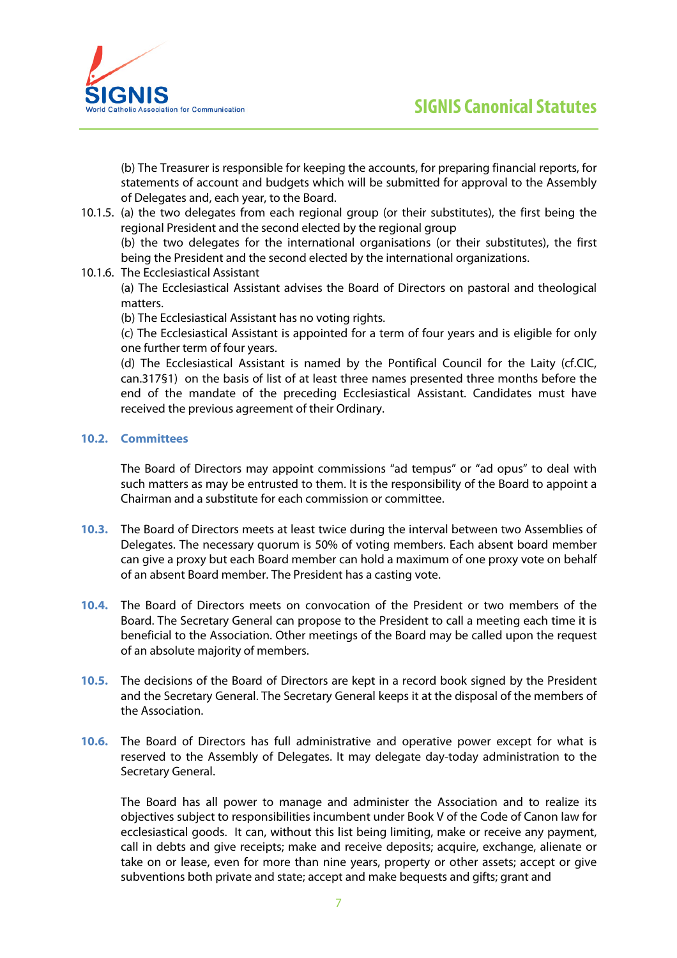

(b) The Treasurer is responsible for keeping the accounts, for preparing financial reports, for statements of account and budgets which will be submitted for approval to the Assembly of Delegates and, each year, to the Board.

10.1.5. (a) the two delegates from each regional group (or their substitutes), the first being the regional President and the second elected by the regional group

(b) the two delegates for the international organisations (or their substitutes), the first being the President and the second elected by the international organizations.

10.1.6. The Ecclesiastical Assistant

(a) The Ecclesiastical Assistant advises the Board of Directors on pastoral and theological matters.

(b) The Ecclesiastical Assistant has no voting rights.

(c) The Ecclesiastical Assistant is appointed for a term of four years and is eligible for only one further term of four years.

(d) The Ecclesiastical Assistant is named by the Pontifical Council for the Laity (cf.CIC, can.317§1) on the basis of list of at least three names presented three months before the end of the mandate of the preceding Ecclesiastical Assistant. Candidates must have received the previous agreement of their Ordinary.

### **10.2. Committees**

The Board of Directors may appoint commissions "ad tempus" or "ad opus" to deal with such matters as may be entrusted to them. It is the responsibility of the Board to appoint a Chairman and a substitute for each commission or committee.

- **10.3.** The Board of Directors meets at least twice during the interval between two Assemblies of Delegates. The necessary quorum is 50% of voting members. Each absent board member can give a proxy but each Board member can hold a maximum of one proxy vote on behalf of an absent Board member. The President has a casting vote.
- **10.4.** The Board of Directors meets on convocation of the President or two members of the Board. The Secretary General can propose to the President to call a meeting each time it is beneficial to the Association. Other meetings of the Board may be called upon the request of an absolute majority of members.
- **10.5.** The decisions of the Board of Directors are kept in a record book signed by the President and the Secretary General. The Secretary General keeps it at the disposal of the members of the Association.
- **10.6.** The Board of Directors has full administrative and operative power except for what is reserved to the Assembly of Delegates. It may delegate day-today administration to the Secretary General.

The Board has all power to manage and administer the Association and to realize its objectives subject to responsibilities incumbent under Book V of the Code of Canon law for ecclesiastical goods. It can, without this list being limiting, make or receive any payment, call in debts and give receipts; make and receive deposits; acquire, exchange, alienate or take on or lease, even for more than nine years, property or other assets; accept or give subventions both private and state; accept and make bequests and gifts; grant and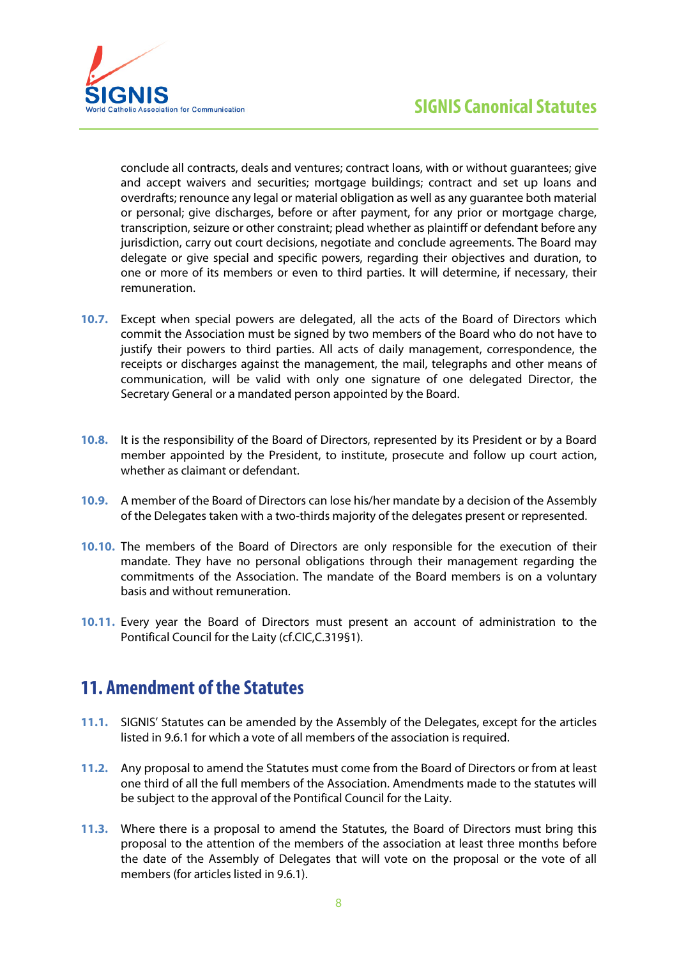

conclude all contracts, deals and ventures; contract loans, with or without guarantees; give and accept waivers and securities; mortgage buildings; contract and set up loans and overdrafts; renounce any legal or material obligation as well as any guarantee both material or personal; give discharges, before or after payment, for any prior or mortgage charge, transcription, seizure or other constraint; plead whether as plaintiff or defendant before any jurisdiction, carry out court decisions, negotiate and conclude agreements. The Board may delegate or give special and specific powers, regarding their objectives and duration, to one or more of its members or even to third parties. It will determine, if necessary, their remuneration.

- **10.7.** Except when special powers are delegated, all the acts of the Board of Directors which commit the Association must be signed by two members of the Board who do not have to justify their powers to third parties. All acts of daily management, correspondence, the receipts or discharges against the management, the mail, telegraphs and other means of communication, will be valid with only one signature of one delegated Director, the Secretary General or a mandated person appointed by the Board.
- **10.8.** It is the responsibility of the Board of Directors, represented by its President or by a Board member appointed by the President, to institute, prosecute and follow up court action, whether as claimant or defendant.
- **10.9.** A member of the Board of Directors can lose his/her mandate by a decision of the Assembly of the Delegates taken with a two-thirds majority of the delegates present or represented.
- **10.10.** The members of the Board of Directors are only responsible for the execution of their mandate. They have no personal obligations through their management regarding the commitments of the Association. The mandate of the Board members is on a voluntary basis and without remuneration.
- **10.11.** Every year the Board of Directors must present an account of administration to the Pontifical Council for the Laity (cf.CIC,C.319§1).

## **11. Amendment of the Statutes**

- **11.1.** SIGNIS' Statutes can be amended by the Assembly of the Delegates, except for the articles listed in 9.6.1 for which a vote of all members of the association is required.
- **11.2.** Any proposal to amend the Statutes must come from the Board of Directors or from at least one third of all the full members of the Association. Amendments made to the statutes will be subject to the approval of the Pontifical Council for the Laity.
- **11.3.** Where there is a proposal to amend the Statutes, the Board of Directors must bring this proposal to the attention of the members of the association at least three months before the date of the Assembly of Delegates that will vote on the proposal or the vote of all members (for articles listed in 9.6.1).